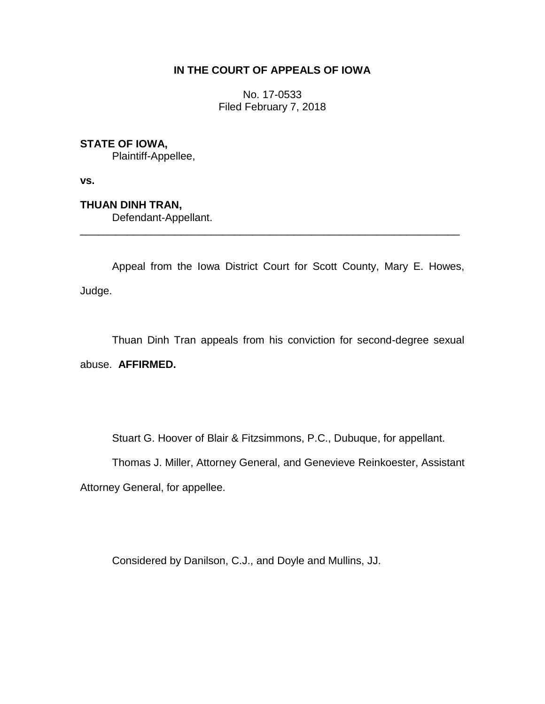## **IN THE COURT OF APPEALS OF IOWA**

No. 17-0533 Filed February 7, 2018

## **STATE OF IOWA,**

Plaintiff-Appellee,

**vs.**

**THUAN DINH TRAN,**

Defendant-Appellant.

Appeal from the Iowa District Court for Scott County, Mary E. Howes, Judge.

\_\_\_\_\_\_\_\_\_\_\_\_\_\_\_\_\_\_\_\_\_\_\_\_\_\_\_\_\_\_\_\_\_\_\_\_\_\_\_\_\_\_\_\_\_\_\_\_\_\_\_\_\_\_\_\_\_\_\_\_\_\_\_\_

Thuan Dinh Tran appeals from his conviction for second-degree sexual abuse. **AFFIRMED.**

Stuart G. Hoover of Blair & Fitzsimmons, P.C., Dubuque, for appellant.

Thomas J. Miller, Attorney General, and Genevieve Reinkoester, Assistant Attorney General, for appellee.

Considered by Danilson, C.J., and Doyle and Mullins, JJ.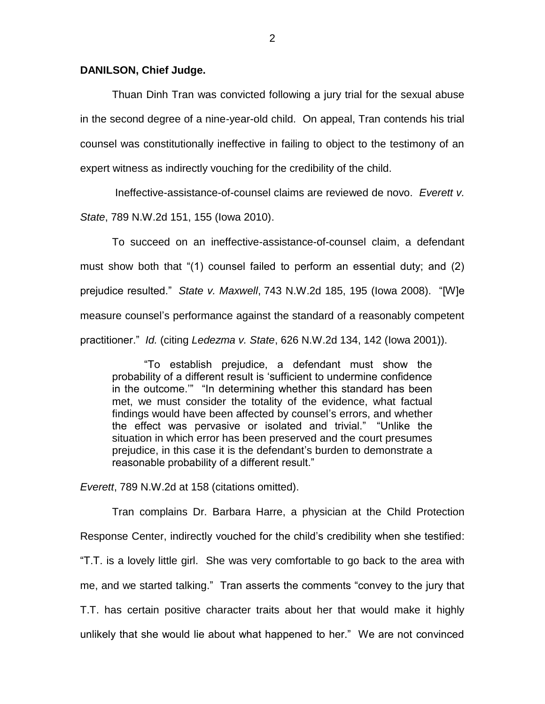## **DANILSON, Chief Judge.**

Thuan Dinh Tran was convicted following a jury trial for the sexual abuse in the second degree of a nine-year-old child. On appeal, Tran contends his trial counsel was constitutionally ineffective in failing to object to the testimony of an expert witness as indirectly vouching for the credibility of the child.

Ineffective-assistance-of-counsel claims are reviewed de novo. *Everett v. State*, 789 N.W.2d 151, 155 (Iowa 2010).

To succeed on an ineffective-assistance-of-counsel claim, a defendant must show both that "(1) counsel failed to perform an essential duty; and (2) prejudice resulted." *State v. Maxwell*, 743 N.W.2d 185, 195 (Iowa 2008). "[W]e measure counsel's performance against the standard of a reasonably competent practitioner." *Id.* (citing *Ledezma v. State*, 626 N.W.2d 134, 142 (Iowa 2001)).

"To establish prejudice, a defendant must show the probability of a different result is 'sufficient to undermine confidence in the outcome.'" "In determining whether this standard has been met, we must consider the totality of the evidence, what factual findings would have been affected by counsel's errors, and whether the effect was pervasive or isolated and trivial." "Unlike the situation in which error has been preserved and the court presumes prejudice, in this case it is the defendant's burden to demonstrate a reasonable probability of a different result."

*Everett*, 789 N.W.2d at 158 (citations omitted).

Tran complains Dr. Barbara Harre, a physician at the Child Protection Response Center, indirectly vouched for the child's credibility when she testified: "T.T. is a lovely little girl. She was very comfortable to go back to the area with me, and we started talking." Tran asserts the comments "convey to the jury that T.T. has certain positive character traits about her that would make it highly unlikely that she would lie about what happened to her." We are not convinced